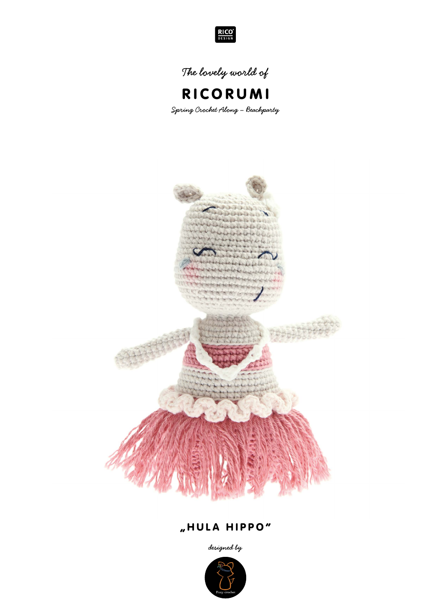

**The lovely world of**



**Spring Crochet Along – Beachparty**



# "HULA HIPPO"

**designed by**

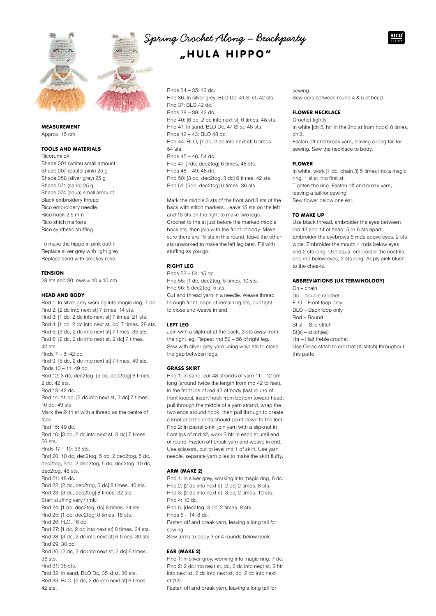

# MEASUREMENT

Approx. 15 cm

# TOOLS AND MATERIALS

Ricorumi dk Shade 001 (white) small amount Shade 007 (pastel pink) 25 g Shade 058 (silver grey) 25 g Shade 071 (sand) 25 g Shade 074 (aqua) small amount Black embroidery thread Rico embroidery needle Rico hook 2.5 mm Rico stitch markers Rico synthetic stuffing

To make the hippo in pink outfit: Replace silver grey with light grey. Replace sand with smokey rose.

## **TENSION**

28 sts and 30 rows = 10 x 10 cm

## HEAD AND BODY

Rnd 1: In silver grey working into magic ring, 7 dc. Rnd 2: [2 dc into next st] 7 times. 14 sts. Rnd 3: [1 dc, 2 dc into next st] 7 times. 21 sts. Rnd 4: [1 dc, 2 dc into next st, dc] 7 times. 28 sts. Rnd 5: [3 dc, 2 dc into next st] 7 times. 35 sts. Rnd 6: [2 dc, 2 dc into next st, 2 dc] 7 times. 42 sts. Rnds 7 – 8: 42 dc. Rnd 9: [5 dc, 2 dc into next st] 7 times. 49 sts. Rnds 10 – 11: 49 dc. Rnd 12: 3 dc, dec2tog, [5 dc, dec2tog] 6 times, 2 dc. 42 sts. Rnd 13: 42 dc. Rnd 14: 11 dc, [2 dc into next st, 2 dc] 7 times, 10 dc. 49 sts. Mark the 24th st with a thread as the centre of face. Rnd 15: 49 dc. Rnd 16: [3 dc, 2 dc into next st, 3 dc] 7 times. 56 sts. Rnds 17 – 19: 56 sts. Rnd 20: 10 dc, dec2tog, 5 dc, 2 dec2tog, 5 dc, dec2tog, 5dc, 2 dec2tog, 5 dc, dec2tog, 10 dc, dec2tog. 48 sts. Rnd 21: 48 dc. Rnd 22: [2 dc, dec2tog, 2 dc] 8 times. 40 sts. Rnd 23: [3 dc, dec2tog] 8 times. 32 sts. Start stuffing very firmly. Rnd 24: [1 dc, dec2tog, dc] 8 times. 24 sts. Rnd 25: [1 dc, dec2tog] 8 times. 16 sts. Rnd 26: FLO, 16 dc. Rnd 27: [1 dc, 2 dc into next st] 8 times. 24 sts. Rnd 28: [3 dc, 2 dc into next st] 6 times. 30 sts. Rnd 29: 30 dc. Rnd 30: [2 dc, 2 dc into next st, 2 dc] 6 times.

Rnd 31: 36 sts.

36 sts.

Rnd 32: In sand, BLO Dc, 35 sl st. 36 sts. Rnd 33: BLO, [5 dc, 2 dc into next st] 6 times. 42 sts.

# **Spring Crochet Along – Beachparty** "HULA HIPPO"

Rnds 34 – 35: 42 dc. Rnd 36: In silver grey, BLO Dc, 41 Sl st. 42 sts. Rnd 37: BLO 42 dc. Rnds 38 – 39: 42 dc. Rnd 40: [6 dc, 2 dc into next st] 6 times. 48 sts. Rnd 41: In sand, BLO Dc, 47 Sl st. 48 sts. Rnds  $42 - 43$ : BLO 48 dc. Rnd 44: BLO, [7 dc, 2 dc into next st] 6 times. 54 sts. Rnds 45 – 46: 54 dc. Rnd 47: [7dc, dec2tog] 6 times. 48 sts. Rnds 48 – 49: 48 dc. Rnd 50: [3 dc, dec2tog, 3 dc] 6 times. 42 sts. Rnd 51: [5dc, dec2tog] 6 times. 36 sts.

Mark the middle 3 sts of the front and 3 sts of the back with stitch markers. Leave 15 sts on the left and 15 sts on the right to make two legs. Crochet to the st just before the marked middle back sts, then join with the front of body. Make sure there are 15 sts in this round, leave the other sts unworked to make the left leg later. Fill with stuffing as you go.

## RIGHT LEG

Rnds 52 – 54: 15 dc. Rnd 55: [1 dc, dec2tog] 5 times. 10 sts. Rnd 56: 5 dec2tog. 5 sts. Cut and thread yarn in a needle. Weave thread through front loops of remaining sts, pull tight to close and weave in end.

# LEFT LEG

Join with a slipknot at the back, 3 sts away from the right leg. Repeat rnd 52 – 56 of right leg. Sew with silver grey yarn using whip sts to close the gap between legs.

#### GRASS SKIRT

Rnd 1: In sand, cut 48 strands of yarn 11 – 12 cm long (around twice the length from rnd 42 to feet). In the front lps of rnd 43 of body (last round of front loops), insert hook from bottom toward head, pull through the middle of a yarn strand, wrap the two ends around hook, then pull through to create a knot and the ends should point down to the feet. Rnd 2: In pastel pink, join yarn with a slipknot in front lps of rnd 42, work 3 htr in each st until end of round. Fasten off break yarn and weave in end. Use scissors, cut to level rnd 1 of skirt. Use yarn needle, separate yarn plies to make the skirt fluffy.

## ARM (MAKE 2)

Rnd 1: In silver grey, working into magic ring, 6 dc. Rnd 2: [2 dc into next st, 2 dc] 2 times. 8 sts. Rnd 3: [2 dc into next st, 3 dc] 2 times. 10 sts. Rnd 4: 10 dc. Rnd 5: [dec2tog, 3 dc] 2 times. 8 sts. Rnds 6 – 14: 8 dc. Fasten off and break yarn, leaving a long tail for sewing. Sew arms to body 3 or 4 rounds below neck.

# EAR (MAKE 2)

Rnd 1: In silver grey, working into magic ring, 7 dc. Rnd 2: 2 dc into next st, dc, 2 dc into next st, 2 htr into next st, 2 dc into next st, dc, 2 dc into next st (12).

Fasten off and break yarn, leaving a long tail for

sewing. Sew ears between round 4 & 5 of head.

## FLOWER NECKLACE

Crochet tightly. In white [ch 5, htr in the 2nd st from hook] 8 times, ch 2. Fasten off and break yarn, leaving a long tail for sewing. Sew the necklace to body.

## FLOWER

In white, work [1 dc, chain 3] 5 times into a magic ring. 1 sl st into first st. Tighten the ring. Fasten off and break yarn, leaving a tail for sewing. Sew flower below one ear.

#### TO MAKE UP

Use black thread, embroider the eyes between rnd 13 and 14 of head, 5 or 6 sts apart. Embroider the eyebrows 6 rnds above eyes, 2 sts wide. Embroider the mouth 4 rnds below eyes and 2 sts long. Use aqua, embroider the nostrils one rnd below eyes, 2 sts long. Apply pink blush to the cheeks.

#### ABBREVIATIONS (UK TERMINOLOGY)

Ch – chain Dc – double crochet  $F \cap F$  – Front loop only BLO – Back loop only Rnd – Round Sl st - Slip stitch St(s) – stitch(es) Htr – Half treble crochet Use Cross stitch to crochet (X-stitch) throughout this patte